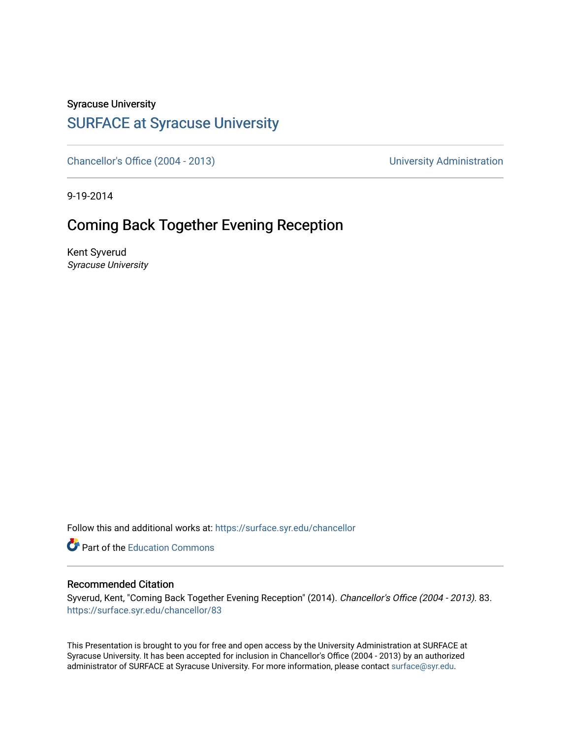#### Syracuse University

## [SURFACE at Syracuse University](https://surface.syr.edu/)

[Chancellor's Office \(2004 - 2013\)](https://surface.syr.edu/chancellor) Chancellor's Office (2004 - 2013)

9-19-2014

### Coming Back Together Evening Reception

Kent Syverud Syracuse University

Follow this and additional works at: [https://surface.syr.edu/chancellor](https://surface.syr.edu/chancellor?utm_source=surface.syr.edu%2Fchancellor%2F83&utm_medium=PDF&utm_campaign=PDFCoverPages) 

**Part of the [Education Commons](http://network.bepress.com/hgg/discipline/784?utm_source=surface.syr.edu%2Fchancellor%2F83&utm_medium=PDF&utm_campaign=PDFCoverPages)** 

#### Recommended Citation

Syverud, Kent, "Coming Back Together Evening Reception" (2014). Chancellor's Office (2004 - 2013). 83. [https://surface.syr.edu/chancellor/83](https://surface.syr.edu/chancellor/83?utm_source=surface.syr.edu%2Fchancellor%2F83&utm_medium=PDF&utm_campaign=PDFCoverPages) 

This Presentation is brought to you for free and open access by the University Administration at SURFACE at Syracuse University. It has been accepted for inclusion in Chancellor's Office (2004 - 2013) by an authorized administrator of SURFACE at Syracuse University. For more information, please contact [surface@syr.edu.](mailto:surface@syr.edu)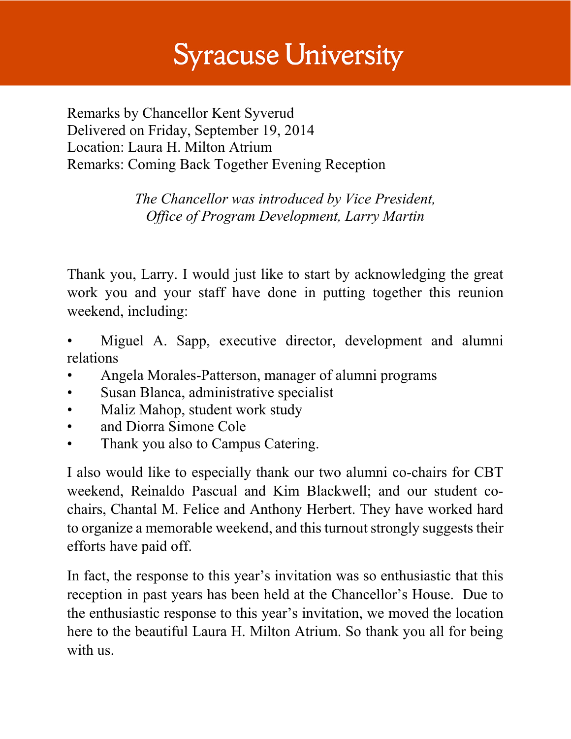# **Syracuse University**

Remarks by Chancellor Kent Syverud Delivered on Friday, September 19, 2014 Location: Laura H. Milton Atrium Remarks: Coming Back Together Evening Reception

> *The Chancellor was introduced by Vice President, Office of Program Development, Larry Martin*

Thank you, Larry. I would just like to start by acknowledging the great work you and your staff have done in putting together this reunion weekend, including:

Miguel A. Sapp, executive director, development and alumni relations

- Angela Morales-Patterson, manager of alumni programs
- Susan Blanca, administrative specialist
- Maliz Mahop, student work study
- and Diorra Simone Cole
- Thank you also to Campus Catering.

I also would like to especially thank our two alumni co-chairs for CBT weekend, Reinaldo Pascual and Kim Blackwell; and our student cochairs, Chantal M. Felice and Anthony Herbert. They have worked hard to organize a memorable weekend, and this turnout strongly suggests their efforts have paid off.

In fact, the response to this year's invitation was so enthusiastic that this reception in past years has been held at the Chancellor's House. Due to the enthusiastic response to this year's invitation, we moved the location here to the beautiful Laura H. Milton Atrium. So thank you all for being with us.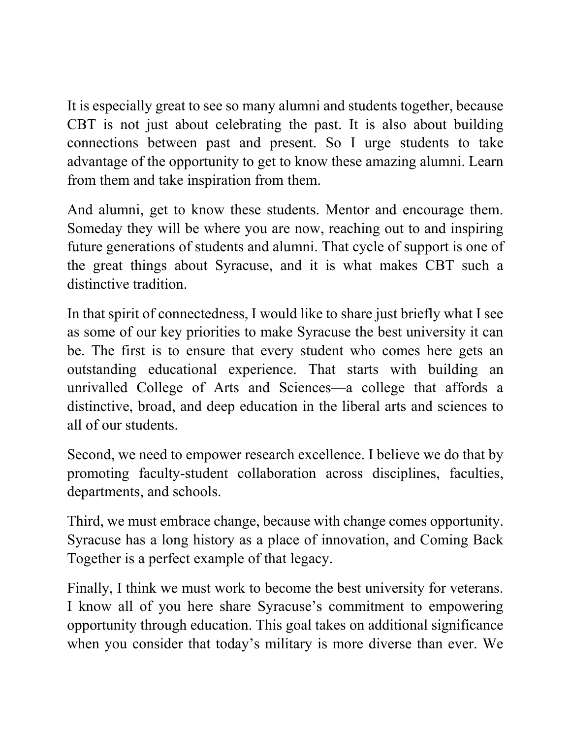It is especially great to see so many alumni and students together, because CBT is not just about celebrating the past. It is also about building connections between past and present. So I urge students to take advantage of the opportunity to get to know these amazing alumni. Learn from them and take inspiration from them.

And alumni, get to know these students. Mentor and encourage them. Someday they will be where you are now, reaching out to and inspiring future generations of students and alumni. That cycle of support is one of the great things about Syracuse, and it is what makes CBT such a distinctive tradition.

In that spirit of connectedness, I would like to share just briefly what I see as some of our key priorities to make Syracuse the best university it can be. The first is to ensure that every student who comes here gets an outstanding educational experience. That starts with building an unrivalled College of Arts and Sciences—a college that affords a distinctive, broad, and deep education in the liberal arts and sciences to all of our students.

Second, we need to empower research excellence. I believe we do that by promoting faculty-student collaboration across disciplines, faculties, departments, and schools.

Third, we must embrace change, because with change comes opportunity. Syracuse has a long history as a place of innovation, and Coming Back Together is a perfect example of that legacy.

Finally, I think we must work to become the best university for veterans. I know all of you here share Syracuse's commitment to empowering opportunity through education. This goal takes on additional significance when you consider that today's military is more diverse than ever. We